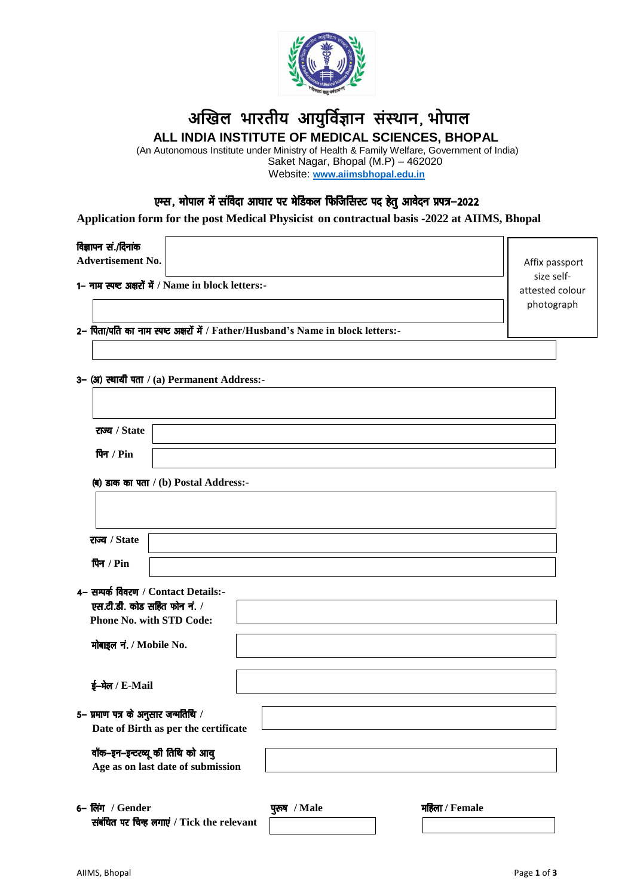

# **अखिल भारतीय आयुर्विज्ञान संस्थान**] **भोपाल ALL INDIA INSTITUTE OF MEDICAL SCIENCES, BHOPAL**

(An Autonomous Institute under Ministry of Health & Family Welfare, Government of India)

Saket Nagar, Bhopal (M.P) – 462020 Website: **[www.aiimsbhopal.edu.in](http://www.aiimsbhopal.edu.in/)**

# एम्स, भोपाल में संविदा आधार पर मेडिकल फिजिसिस्ट पद हेतु आवेदन प्रपत्र-2022

**Application form for the post Medical Physicist on contractual basis -2022 at AIIMS, Bhopal**

## विज्ञापन सं./दिनांक

**Advertisement No.**

1- नाम स्पष्ट अक्षरों में / Name in block letters:-

Affix passport size selfattested colour photograph

2- पिता/पति का नाम स्पष्ट अक्षरों में / Father/Husband's Name in block letters:-

#### 3– (अ) स्थायी पता / (a) Permanent Address:-

| राज्य / State                                                               |              |                |
|-----------------------------------------------------------------------------|--------------|----------------|
| पिन / Pin                                                                   |              |                |
| $\left($ ब) डाक का पता / (b) Postal Address:-                               |              |                |
|                                                                             |              |                |
| राज्य / State                                                               |              |                |
| पिन / Pin                                                                   |              |                |
| 4– सम्पर्क विवरण / Contact Details:-                                        |              |                |
| एस.टी.डी. कोड सहित फोन नं. /<br><b>Phone No. with STD Code:</b>             |              |                |
| मोबाइल नं. / Mobile No.                                                     |              |                |
| ई-मेल / E-Mail                                                              |              |                |
| 5– प्रमाण पत्र के अनुसार जन्मतिथि /<br>Date of Birth as per the certificate |              |                |
| वॉक-इन-इन्टरव्यू की तिथि को आयु<br>Age as on last date of submission        |              |                |
| 6– लिंग / Gender<br>संबंधित पर चिन्ह लगाएं / Tick the relevant              | पुरुष / Male | महिला / Female |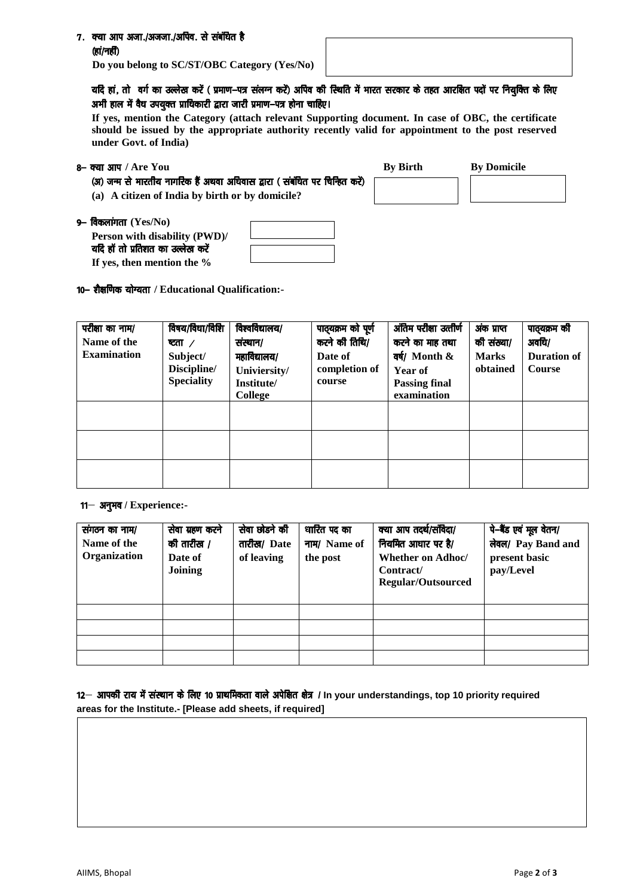## 7. क्या आप अजा./अजजा./अपिव. से संबंधित है (हां/नहीं)

**Do you belong to SC/ST/OBC Category (Yes/No)**

# यदि हां, तो वर्ग का उल्लेख करें ( प्रमाण-पत्र संलग्न करें) अपिव की स्थिति में भारत सरकार के तहत आरक्षित पदों पर नियक्ति के लिए अभी हाल में वैध उपयुक्त प्राधिकारी द्वारा जारी प्रमाण-पत्र होना चाहिए।

**If yes, mention the Category (attach relevant Supporting document. In case of OBC, the certificate should be issued by the appropriate authority recently valid for appointment to the post reserved under Govt. of India)**

- 8- क्या आप / Are You
	- (अ) जन्म से भारतीय नागरिक हैं अथवा अधिवास द्वारा ( संबंधित पर चिन्हित करें)
	- **(a) A citizen of India by birth or by domicile?**

| <b>By Birth</b> | <b>By Domicile</b> |
|-----------------|--------------------|
|                 |                    |

9- विकलांगता (Yes/No)

**10− शैक्षणिक योग्यता / Educational Qualification:-**

**Person with disability (PWD)/** यदि हॉ तो प्रतिशत का उल्लेख करें **If yes, then mention the %**

| परीक्षा का नाम/<br>Name of the<br><b>Examination</b> | विषय/विधा/विशि<br>प्टता $\sqrt{2}$<br>Subject/<br>Discipline/<br><b>Speciality</b> | विश्वविद्यालय/<br>संस्थान/<br>महाविद्यालय/<br>Univiersity/<br>Institute/<br>College | पाठ्यक्रम को पूर्ण<br>करने की तिथि/<br>Date of<br>completion of<br>course | अंतिम परीक्षा उत्तीर्ण<br>करने का माह तथा<br>वर्ष/ Month &<br>Year of<br><b>Passing final</b><br>examination | अंक प्राप्त<br>की संख्या/<br><b>Marks</b><br>obtained | पाठ्यक्रम की<br>अवधि/<br><b>Duration of</b><br><b>Course</b> |
|------------------------------------------------------|------------------------------------------------------------------------------------|-------------------------------------------------------------------------------------|---------------------------------------------------------------------------|--------------------------------------------------------------------------------------------------------------|-------------------------------------------------------|--------------------------------------------------------------|
|                                                      |                                                                                    |                                                                                     |                                                                           |                                                                                                              |                                                       |                                                              |
|                                                      |                                                                                    |                                                                                     |                                                                           |                                                                                                              |                                                       |                                                              |
|                                                      |                                                                                    |                                                                                     |                                                                           |                                                                                                              |                                                       |                                                              |

 $11$ <sup>-</sup> अनुभव / Experience:-

| संगठन का नाम/<br>Name of the<br>Organization | सेवा ग्रहण करने<br>की तारीख /<br>Date of<br>Joining | सेवा छोडने की<br>तारीख/ Date<br>of leaving | धारित पद का<br>नाम/ Name of<br>the post | क्या आप तदर्थ/संविदा/<br>नियमित आधार पर है/<br><b>Whether on Adhoc/</b><br>Contract/<br><b>Regular/Outsourced</b> | पे-बैंड एवं मूल वेतन/<br>लेवल/ Pay Band and<br>present basic<br>pay/Level |
|----------------------------------------------|-----------------------------------------------------|--------------------------------------------|-----------------------------------------|-------------------------------------------------------------------------------------------------------------------|---------------------------------------------------------------------------|
|                                              |                                                     |                                            |                                         |                                                                                                                   |                                                                           |
|                                              |                                                     |                                            |                                         |                                                                                                                   |                                                                           |
|                                              |                                                     |                                            |                                         |                                                                                                                   |                                                                           |
|                                              |                                                     |                                            |                                         |                                                                                                                   |                                                                           |

12- आपकी राय में संस्थान के लिए 10 प्राथमिकता वाले अपेक्षित क्षेत्र / In your understandings, top 10 priority required **areas for the Institute.- [Please add sheets, if required]**